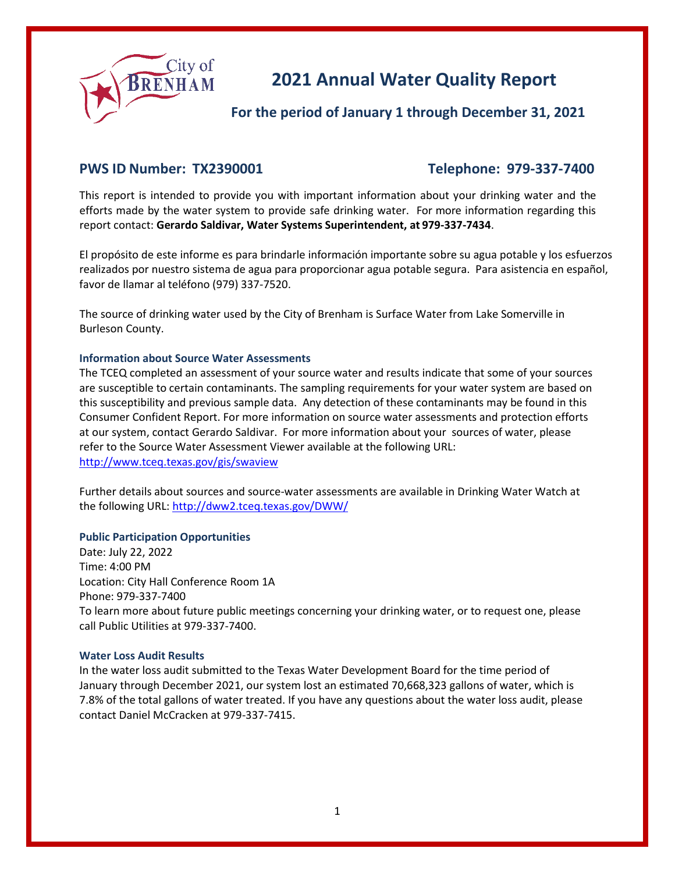

# **2021 Annual Water Quality Report**

# **For the period of January 1 through December 31, 2021**

## **PWS ID Number: TX2390001 Telephone: 979-337-7400**

This report is intended to provide you with important information about your drinking water and the efforts made by the water system to provide safe drinking water. For more information regarding this report contact: **Gerardo Saldivar, Water Systems Superintendent, at 979-337-7434**.

El propósito de este informe es para brindarle información importante sobre su agua potable y los esfuerzos realizados por nuestro sistema de agua para proporcionar agua potable segura. Para asistencia en español, favor de llamar al teléfono (979) 337-7520.

The source of drinking water used by the City of Brenham is Surface Water from Lake Somerville in Burleson County.

#### **Information about Source Water Assessments**

The TCEQ completed an assessment of your source water and results indicate that some of your sources are susceptible to certain contaminants. The sampling requirements for your water system are based on this susceptibility and previous sample data. Any detection of these contaminants may be found in this Consumer Confident Report. For more information on source water assessments and protection efforts at our system, contact Gerardo Saldivar. For more information about your sources of water, please refer to the Source Water Assessment Viewer available at the following URL: <http://www.tceq.texas.gov/gis/swaview>

Further details about sources and source-water assessments are available in Drinking Water Watch at the following URL:<http://dww2.tceq.texas.gov/DWW/>

#### **Public Participation Opportunities**

Date: July 22, 2022 Time: 4:00 PM Location: City Hall Conference Room 1A Phone: 979-337-7400 To learn more about future public meetings concerning your drinking water, or to request one, please call Public Utilities at 979-337-7400.

#### **Water Loss Audit Results**

In the water loss audit submitted to the Texas Water Development Board for the time period of January through December 2021, our system lost an estimated 70,668,323 gallons of water, which is 7.8% of the total gallons of water treated. If you have any questions about the water loss audit, please contact Daniel McCracken at 979-337-7415.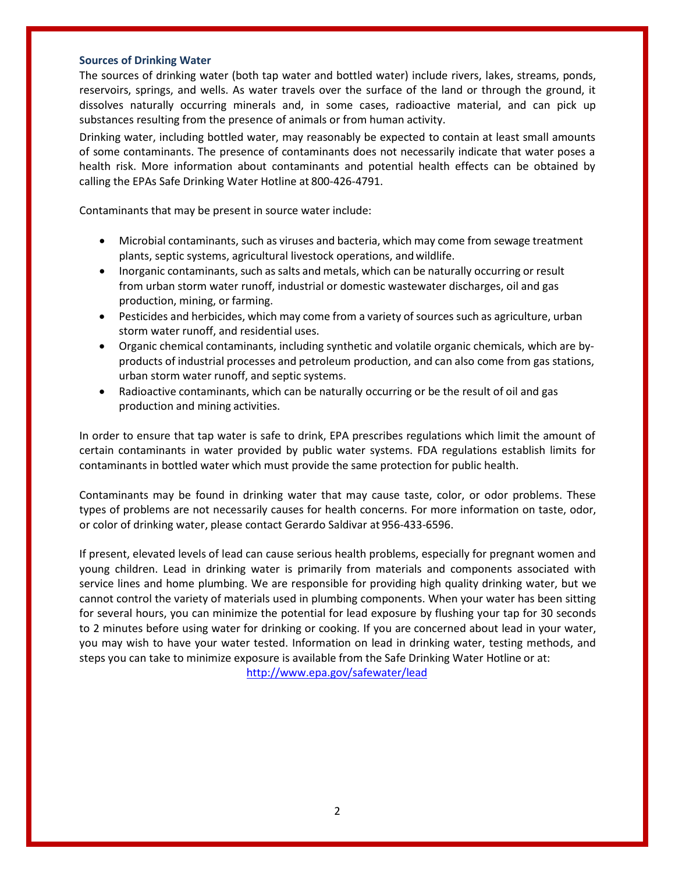#### **Sources of Drinking Water**

The sources of drinking water (both tap water and bottled water) include rivers, lakes, streams, ponds, reservoirs, springs, and wells. As water travels over the surface of the land or through the ground, it dissolves naturally occurring minerals and, in some cases, radioactive material, and can pick up substances resulting from the presence of animals or from human activity.

Drinking water, including bottled water, may reasonably be expected to contain at least small amounts of some contaminants. The presence of contaminants does not necessarily indicate that water poses a health risk. More information about contaminants and potential health effects can be obtained by calling the EPAs Safe Drinking Water Hotline at 800-426-4791.

Contaminants that may be present in source water include:

- Microbial contaminants, such as viruses and bacteria, which may come from sewage treatment plants, septic systems, agricultural livestock operations, and wildlife.
- Inorganic contaminants, such as salts and metals, which can be naturally occurring or result from urban storm water runoff, industrial or domestic wastewater discharges, oil and gas production, mining, or farming.
- Pesticides and herbicides, which may come from a variety of sources such as agriculture, urban storm water runoff, and residential uses.
- Organic chemical contaminants, including synthetic and volatile organic chemicals, which are byproducts of industrial processes and petroleum production, and can also come from gas stations, urban storm water runoff, and septic systems.
- Radioactive contaminants, which can be naturally occurring or be the result of oil and gas production and mining activities.

In order to ensure that tap water is safe to drink, EPA prescribes regulations which limit the amount of certain contaminants in water provided by public water systems. FDA regulations establish limits for contaminants in bottled water which must provide the same protection for public health.

Contaminants may be found in drinking water that may cause taste, color, or odor problems. These types of problems are not necessarily causes for health concerns. For more information on taste, odor, or color of drinking water, please contact Gerardo Saldivar at 956-433-6596.

If present, elevated levels of lead can cause serious health problems, especially for pregnant women and young children. Lead in drinking water is primarily from materials and components associated with service lines and home plumbing. We are responsible for providing high quality drinking water, but we cannot control the variety of materials used in plumbing components. When your water has been sitting for several hours, you can minimize the potential for lead exposure by flushing your tap for 30 seconds to 2 minutes before using water for drinking or cooking. If you are concerned about lead in your water, you may wish to have your water tested. Information on lead in drinking water, testing methods, and steps you can take to minimize exposure is available from the Safe Drinking Water Hotline or at:

<http://www.epa.gov/safewater/lead>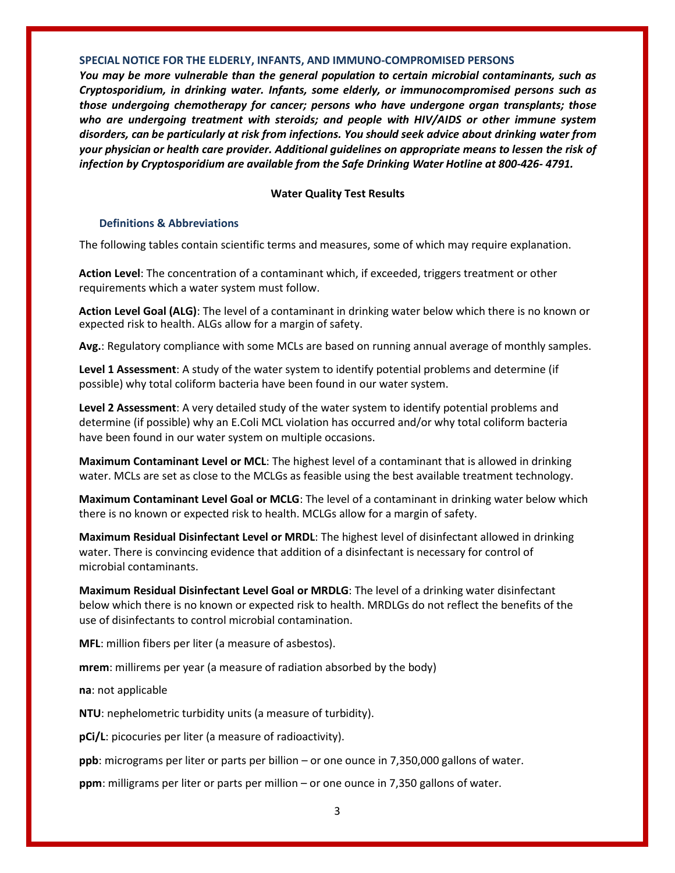#### **SPECIAL NOTICE FOR THE ELDERLY, INFANTS, AND IMMUNO-COMPROMISED PERSONS**

*You may be more vulnerable than the general population to certain microbial contaminants, such as Cryptosporidium, in drinking water. Infants, some elderly, or immunocompromised persons such as those undergoing chemotherapy for cancer; persons who have undergone organ transplants; those who are undergoing treatment with steroids; and people with HIV/AIDS or other immune system disorders, can be particularly at risk from infections. You should seek advice about drinking water from your physician or health care provider. Additional guidelines on appropriate means to lessen the risk of infection by Cryptosporidium are available from the Safe Drinking Water Hotline at 800-426- 4791.*

#### **Water Quality Test Results**

#### **Definitions & Abbreviations**

The following tables contain scientific terms and measures, some of which may require explanation.

**Action Level**: The concentration of a contaminant which, if exceeded, triggers treatment or other requirements which a water system must follow.

**Action Level Goal (ALG)**: The level of a contaminant in drinking water below which there is no known or expected risk to health. ALGs allow for a margin of safety.

**Avg.**: Regulatory compliance with some MCLs are based on running annual average of monthly samples.

**Level 1 Assessment**: A study of the water system to identify potential problems and determine (if possible) why total coliform bacteria have been found in our water system.

**Level 2 Assessment**: A very detailed study of the water system to identify potential problems and determine (if possible) why an E.Coli MCL violation has occurred and/or why total coliform bacteria have been found in our water system on multiple occasions.

**Maximum Contaminant Level or MCL**: The highest level of a contaminant that is allowed in drinking water. MCLs are set as close to the MCLGs as feasible using the best available treatment technology.

**Maximum Contaminant Level Goal or MCLG**: The level of a contaminant in drinking water below which there is no known or expected risk to health. MCLGs allow for a margin of safety.

**Maximum Residual Disinfectant Level or MRDL**: The highest level of disinfectant allowed in drinking water. There is convincing evidence that addition of a disinfectant is necessary for control of microbial contaminants.

**Maximum Residual Disinfectant Level Goal or MRDLG**: The level of a drinking water disinfectant below which there is no known or expected risk to health. MRDLGs do not reflect the benefits of the use of disinfectants to control microbial contamination.

**MFL**: million fibers per liter (a measure of asbestos).

**mrem**: millirems per year (a measure of radiation absorbed by the body)

**na**: not applicable

**NTU**: nephelometric turbidity units (a measure of turbidity).

**pCi/L**: picocuries per liter (a measure of radioactivity).

**ppb**: micrograms per liter or parts per billion – or one ounce in 7,350,000 gallons of water.

**ppm**: milligrams per liter or parts per million – or one ounce in 7,350 gallons of water.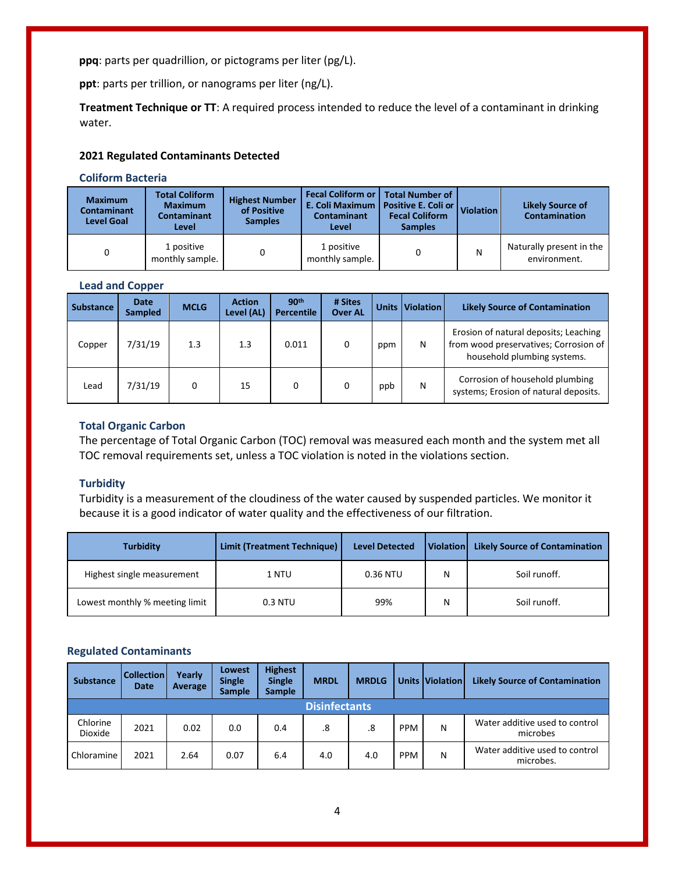**ppq**: parts per quadrillion, or pictograms per liter (pg/L).

**ppt**: parts per trillion, or nanograms per liter (ng/L).

**Treatment Technique or TT**: A required process intended to reduce the level of a contaminant in drinking water.

#### **2021 Regulated Contaminants Detected**

#### **Coliform Bacteria**

| <b>Maximum</b><br><b>Contaminant</b><br><b>Level Goal</b> | <b>Total Coliform</b><br><b>Maximum</b><br><b>Contaminant</b><br>Level | <b>Highest Number</b><br>of Positive<br><b>Samples</b> | <b>Fecal Coliform or   Total Number of</b><br>E. Coli Maximum   Positive E. Coli or   Violation  <br><b>Contaminant</b><br>Level | <b>Fecal Coliform</b><br><b>Samples</b> |   | <b>Likely Source of</b><br><b>Contamination</b> |
|-----------------------------------------------------------|------------------------------------------------------------------------|--------------------------------------------------------|----------------------------------------------------------------------------------------------------------------------------------|-----------------------------------------|---|-------------------------------------------------|
|                                                           | 1 positive<br>monthly sample.                                          | 0                                                      | 1 positive<br>monthly sample.                                                                                                    | 0                                       | N | Naturally present in the<br>environment.        |

#### **Lead and Copper**

| <b>Substance</b> | Date<br><b>Sampled</b> | <b>MCLG</b> | <b>Action</b><br>Level (AL) | 90th<br><b>Percentile</b> | # Sites<br><b>Over AL</b> | <b>Units</b> | <b>Violation</b> | <b>Likely Source of Contamination</b>                                                                         |
|------------------|------------------------|-------------|-----------------------------|---------------------------|---------------------------|--------------|------------------|---------------------------------------------------------------------------------------------------------------|
| Copper           | 7/31/19                | 1.3         | 1.3                         | 0.011                     | 0                         | ppm          | N                | Erosion of natural deposits; Leaching<br>from wood preservatives; Corrosion of<br>household plumbing systems. |
| Lead             | 7/31/19                | 0           | 15                          | 0                         | 0                         | ppb          | Ν                | Corrosion of household plumbing<br>systems; Erosion of natural deposits.                                      |

#### **Total Organic Carbon**

The percentage of Total Organic Carbon (TOC) removal was measured each month and the system met all TOC removal requirements set, unless a TOC violation is noted in the violations section.

#### **Turbidity**

Turbidity is a measurement of the cloudiness of the water caused by suspended particles. We monitor it because it is a good indicator of water quality and the effectiveness of our filtration.

| <b>Turbidity</b>               | Limit (Treatment Technique) | <b>Level Detected</b> | <b>Violation</b> | <b>Likely Source of Contamination</b> |
|--------------------------------|-----------------------------|-----------------------|------------------|---------------------------------------|
| Highest single measurement     | 1 NTU                       | 0.36 NTU              | N                | Soil runoff.                          |
| Lowest monthly % meeting limit | 0.3 NTU                     | 99%                   | N                | Soil runoff.                          |

### **Regulated Contaminants**

| <b>Substance</b>    | <b>Collection</b><br>Date | Yearly<br>Average | <b>Lowest</b><br><b>Single</b><br><b>Sample</b> | <b>Highest</b><br><b>Single</b><br><b>Sample</b> | <b>MRDL</b>          | <b>MRDLG</b> |            | <b>Units Violation</b> | <b>Likely Source of Contamination</b>       |
|---------------------|---------------------------|-------------------|-------------------------------------------------|--------------------------------------------------|----------------------|--------------|------------|------------------------|---------------------------------------------|
|                     |                           |                   |                                                 |                                                  | <b>Disinfectants</b> |              |            |                        |                                             |
| Chlorine<br>Dioxide | 2021                      | 0.02              | 0.0                                             | 0.4                                              | .8                   | .8           | <b>PPM</b> | Ν                      | Water additive used to control<br>microbes  |
| Chloramine          | 2021                      | 2.64              | 0.07                                            | 6.4                                              | 4.0                  | 4.0          | <b>PPM</b> | Ν                      | Water additive used to control<br>microbes. |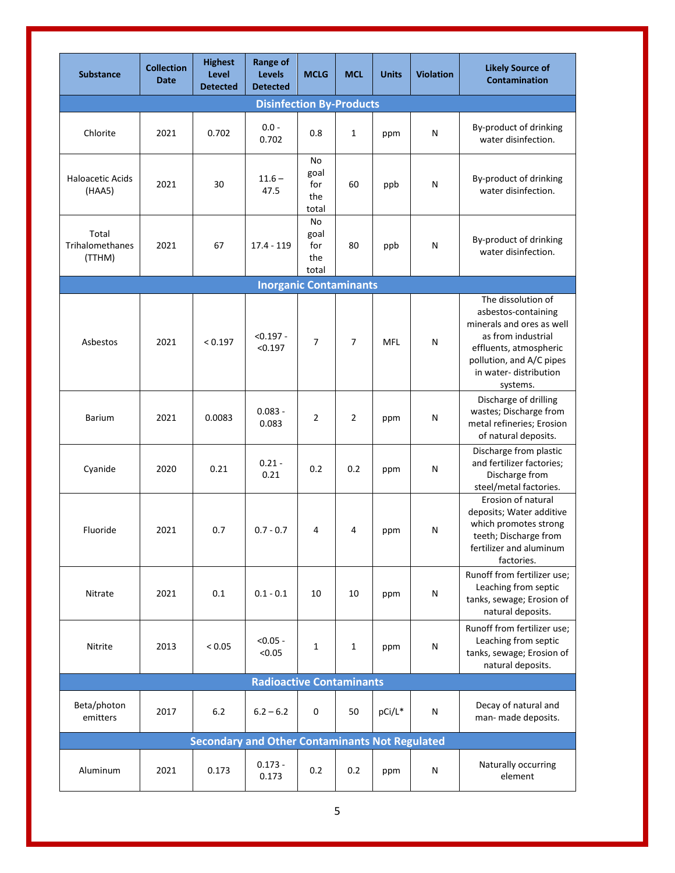| <b>Substance</b>                          | <b>Collection</b><br><b>Date</b> | <b>Highest</b><br><b>Level</b><br><b>Detected</b> | <b>Range of</b><br><b>Levels</b><br><b>Detected</b>   | <b>MCLG</b>                       | <b>MCL</b>     | <b>Units</b> | <b>Violation</b> | <b>Likely Source of</b><br><b>Contamination</b>                                                                                                                                         |
|-------------------------------------------|----------------------------------|---------------------------------------------------|-------------------------------------------------------|-----------------------------------|----------------|--------------|------------------|-----------------------------------------------------------------------------------------------------------------------------------------------------------------------------------------|
|                                           |                                  |                                                   | <b>Disinfection By-Products</b>                       |                                   |                |              |                  |                                                                                                                                                                                         |
| Chlorite                                  | 2021                             | 0.702                                             | $0.0 -$<br>0.702                                      | 0.8                               | $\mathbf{1}$   | ppm          | N                | By-product of drinking<br>water disinfection.                                                                                                                                           |
| <b>Haloacetic Acids</b><br>(HAA5)         | 2021                             | 30                                                | $11.6 -$<br>47.5                                      | No<br>goal<br>for<br>the<br>total | 60             | ppb          | Ν                | By-product of drinking<br>water disinfection.                                                                                                                                           |
| Total<br><b>Trihalomethanes</b><br>(TTHM) | 2021                             | 67                                                | 17.4 - 119                                            | No<br>goal<br>for<br>the<br>total | 80             | ppb          | N                | By-product of drinking<br>water disinfection.                                                                                                                                           |
|                                           |                                  |                                                   | <b>Inorganic Contaminants</b>                         |                                   |                |              |                  |                                                                                                                                                                                         |
| Asbestos                                  | 2021                             | < 0.197                                           | $< 0.197 -$<br>< 0.197                                | $\overline{7}$                    | 7              | <b>MFL</b>   | ${\sf N}$        | The dissolution of<br>asbestos-containing<br>minerals and ores as well<br>as from industrial<br>effluents, atmospheric<br>pollution, and A/C pipes<br>in water-distribution<br>systems. |
| <b>Barium</b>                             | 2021                             | 0.0083                                            | $0.083 -$<br>0.083                                    | $\overline{2}$                    | $\overline{2}$ | ppm          | N                | Discharge of drilling<br>wastes; Discharge from<br>metal refineries; Erosion<br>of natural deposits.                                                                                    |
| Cyanide                                   | 2020                             | 0.21                                              | $0.21 -$<br>0.21                                      | 0.2                               | 0.2            | ppm          | N                | Discharge from plastic<br>and fertilizer factories;<br>Discharge from<br>steel/metal factories.                                                                                         |
| Fluoride                                  | 2021                             | 0.7                                               | $0.7 - 0.7$                                           | 4                                 | 4              | ppm          | N                | Erosion of natural<br>deposits; Water additive<br>which promotes strong<br>teeth; Discharge from<br>fertilizer and aluminum<br>factories.                                               |
| Nitrate                                   | 2021                             | 0.1                                               | $0.1 - 0.1$                                           | 10                                | 10             | ppm          | ${\sf N}$        | Runoff from fertilizer use;<br>Leaching from septic<br>tanks, sewage; Erosion of<br>natural deposits.                                                                                   |
| Nitrite                                   | 2013                             | < 0.05                                            | $< 0.05 -$<br>< 0.05                                  | $\mathbf{1}$                      | 1              | ppm          | N                | Runoff from fertilizer use;<br>Leaching from septic<br>tanks, sewage; Erosion of<br>natural deposits.                                                                                   |
|                                           |                                  |                                                   | <b>Radioactive Contaminants</b>                       |                                   |                |              |                  |                                                                                                                                                                                         |
| Beta/photon<br>emitters                   | 2017                             | 6.2                                               | $6.2 - 6.2$                                           | 0                                 | 50             | pCi/L*       | N                | Decay of natural and<br>man- made deposits.                                                                                                                                             |
|                                           |                                  |                                                   | <b>Secondary and Other Contaminants Not Regulated</b> |                                   |                |              |                  |                                                                                                                                                                                         |
| Aluminum                                  | 2021                             | 0.173                                             | $0.173 -$<br>0.173                                    | 0.2                               | 0.2            | ppm          | N                | Naturally occurring<br>element                                                                                                                                                          |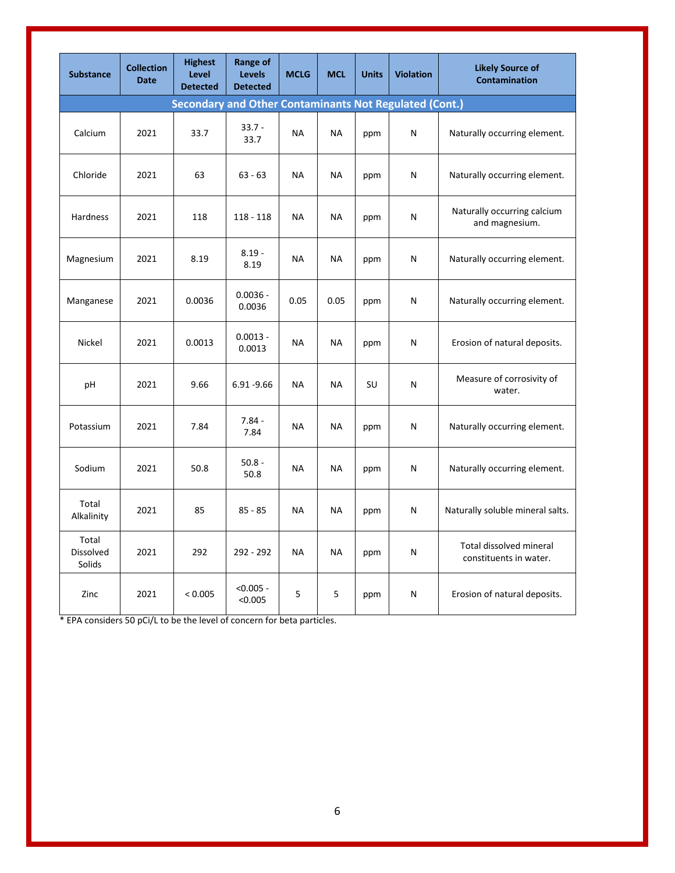| <b>Substance</b>             | <b>Collection</b><br><b>Date</b> | <b>Highest</b><br>Level<br><b>Detected</b> | Range of<br><b>Levels</b><br><b>Detected</b>                  | <b>MCLG</b> | <b>MCL</b> | <b>Units</b> | <b>Violation</b> | <b>Likely Source of</b><br><b>Contamination</b>   |
|------------------------------|----------------------------------|--------------------------------------------|---------------------------------------------------------------|-------------|------------|--------------|------------------|---------------------------------------------------|
|                              |                                  |                                            | <b>Secondary and Other Contaminants Not Regulated (Cont.)</b> |             |            |              |                  |                                                   |
| Calcium                      | 2021                             | 33.7                                       | $33.7 -$<br>33.7                                              | NA          | NА         | ppm          | N                | Naturally occurring element.                      |
| Chloride                     | 2021                             | 63                                         | $63 - 63$                                                     | <b>NA</b>   | <b>NA</b>  | ppm          | N                | Naturally occurring element.                      |
| Hardness                     | 2021                             | 118                                        | $118 - 118$                                                   | <b>NA</b>   | NA         | ppm          | N                | Naturally occurring calcium<br>and magnesium.     |
| Magnesium                    | 2021                             | 8.19                                       | $8.19 -$<br>8.19                                              | NA          | NA         | ppm          | N                | Naturally occurring element.                      |
| Manganese                    | 2021                             | 0.0036                                     | $0.0036 -$<br>0.0036                                          | 0.05        | 0.05       | ppm          | N                | Naturally occurring element.                      |
| Nickel                       | 2021                             | 0.0013                                     | $0.0013 -$<br>0.0013                                          | ΝA          | <b>NA</b>  | ppm          | N                | Erosion of natural deposits.                      |
| pH                           | 2021                             | 9.66                                       | $6.91 - 9.66$                                                 | <b>NA</b>   | <b>NA</b>  | SU           | N                | Measure of corrosivity of<br>water.               |
| Potassium                    | 2021                             | 7.84                                       | $7.84 -$<br>7.84                                              | ΝA          | NA         | ppm          | N                | Naturally occurring element.                      |
| Sodium                       | 2021                             | 50.8                                       | $50.8 -$<br>50.8                                              | ΝA          | NА         | ppm          | N                | Naturally occurring element.                      |
| Total<br>Alkalinity          | 2021                             | 85                                         | $85 - 85$                                                     | <b>NA</b>   | NA         | ppm          | N                | Naturally soluble mineral salts.                  |
| Total<br>Dissolved<br>Solids | 2021                             | 292                                        | 292 - 292                                                     | NA          | <b>NA</b>  | ppm          | N                | Total dissolved mineral<br>constituents in water. |
| Zinc                         | 2021                             | < 0.005                                    | $< 0.005 -$<br>< 0.005                                        | 5           | 5          | ppm          | N                | Erosion of natural deposits.                      |

\* EPA considers 50 pCi/L to be the level of concern for beta particles.